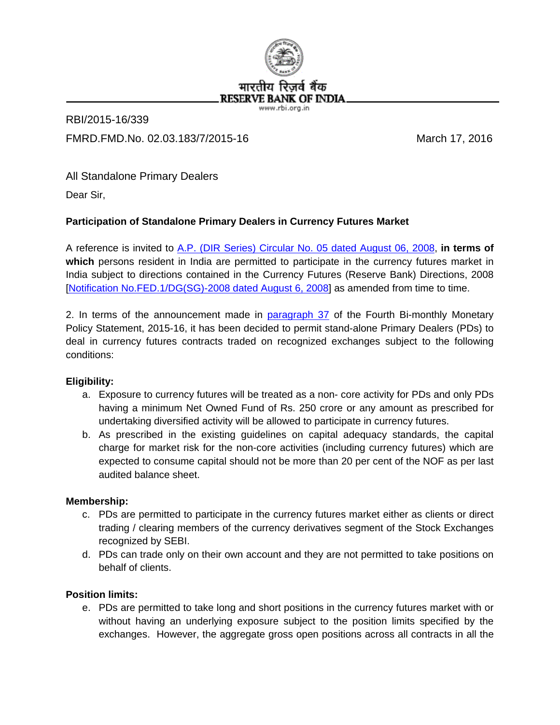

# RBI/2015-16/339 FMRD.FMD.No. 02.03.183/7/2015-16 March 17, 2016

All Standalone Primary Dealers

Dear Sir,

# **Participation of Standalone Primary Dealers in Currency Futures Market**

A reference is invited to [A.P. \(DIR Series\) Circular No. 05 dated August 06, 2008,](https://rbi.org.in/Scripts/NotificationUser.aspx?Id=4410&Mode=0) **in terms of**  which persons resident in India are permitted to participate in the currency futures market in India subject to directions contained in the Currency Futures (Reserve Bank) Directions, 2008 [\[Notification No.FED.1/DG\(SG\)-2008 dated August 6, 2008\]](https://rbi.org.in/Scripts/NotificationUser.aspx?Id=4410&Mode=0#fed1) as amended from time to time.

2. In terms of the announcement made in [paragraph 37](https://rbi.org.in/scripts/BS_PressReleaseDisplay.aspx?prid=35087#P37) of the Fourth Bi-monthly Monetary Policy Statement, 2015-16, it has been decided to permit stand-alone Primary Dealers (PDs) to deal in currency futures contracts traded on recognized exchanges subject to the following conditions:

## **Eligibility:**

- a. Exposure to currency futures will be treated as a non- core activity for PDs and only PDs having a minimum Net Owned Fund of Rs. 250 crore or any amount as prescribed for undertaking diversified activity will be allowed to participate in currency futures.
- b. As prescribed in the existing guidelines on capital adequacy standards, the capital charge for market risk for the non-core activities (including currency futures) which are expected to consume capital should not be more than 20 per cent of the NOF as per last audited balance sheet.

## **Membership:**

- c. PDs are permitted to participate in the currency futures market either as clients or direct trading / clearing members of the currency derivatives segment of the Stock Exchanges recognized by SEBI.
- d. PDs can trade only on their own account and they are not permitted to take positions on behalf of clients.

## **Position limits:**

e. PDs are permitted to take long and short positions in the currency futures market with or without having an underlying exposure subject to the position limits specified by the exchanges. However, the aggregate gross open positions across all contracts in all the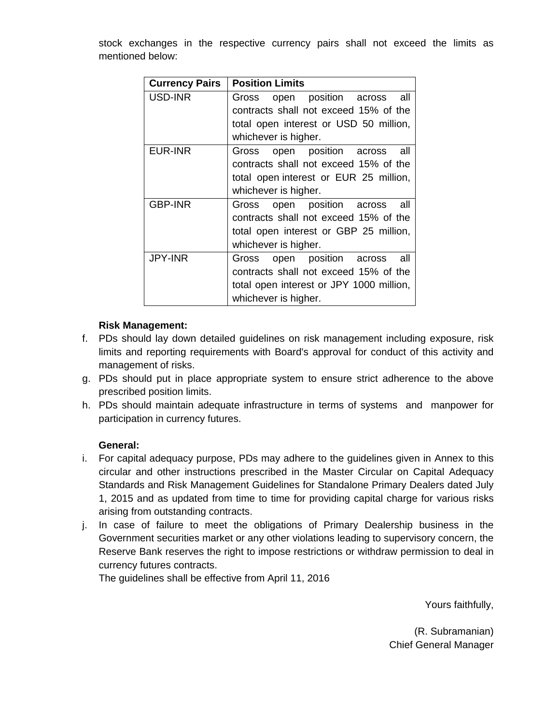stock exchanges in the respective currency pairs shall not exceed the limits as mentioned below:

| <b>Currency Pairs</b> | <b>Position Limits</b>                   |
|-----------------------|------------------------------------------|
| USD-INR               | all<br>open position across<br>Gross     |
|                       | contracts shall not exceed 15% of the    |
|                       | total open interest or USD 50 million,   |
|                       | whichever is higher.                     |
| EUR-INR               | open position across<br>all<br>Gross     |
|                       | contracts shall not exceed 15% of the    |
|                       | total open interest or EUR 25 million,   |
|                       | whichever is higher.                     |
| <b>GBP-INR</b>        | open position across<br>all<br>Gross     |
|                       | contracts shall not exceed 15% of the    |
|                       | total open interest or GBP 25 million,   |
|                       | whichever is higher.                     |
| <b>JPY-INR</b>        | all<br>open position across<br>Gross     |
|                       | contracts shall not exceed 15% of the    |
|                       | total open interest or JPY 1000 million, |
|                       | whichever is higher.                     |

#### **Risk Management:**

- f. PDs should lay down detailed guidelines on risk management including exposure, risk limits and reporting requirements with Board's approval for conduct of this activity and management of risks.
- g. PDs should put in place appropriate system to ensure strict adherence to the above prescribed position limits.
- h. PDs should maintain adequate infrastructure in terms of systems and manpower for participation in currency futures.

#### **General:**

- i. For capital adequacy purpose, PDs may adhere to the guidelines given in Annex to this circular and other instructions prescribed in the Master Circular on Capital Adequacy Standards and Risk Management Guidelines for Standalone Primary Dealers dated July 1, 2015 and as updated from time to time for providing capital charge for various risks arising from outstanding contracts.
- j. In case of failure to meet the obligations of Primary Dealership business in the Government securities market or any other violations leading to supervisory concern, the Reserve Bank reserves the right to impose restrictions or withdraw permission to deal in currency futures contracts.

The guidelines shall be effective from April 11, 2016

Yours faithfully,

(R. Subramanian) Chief General Manager